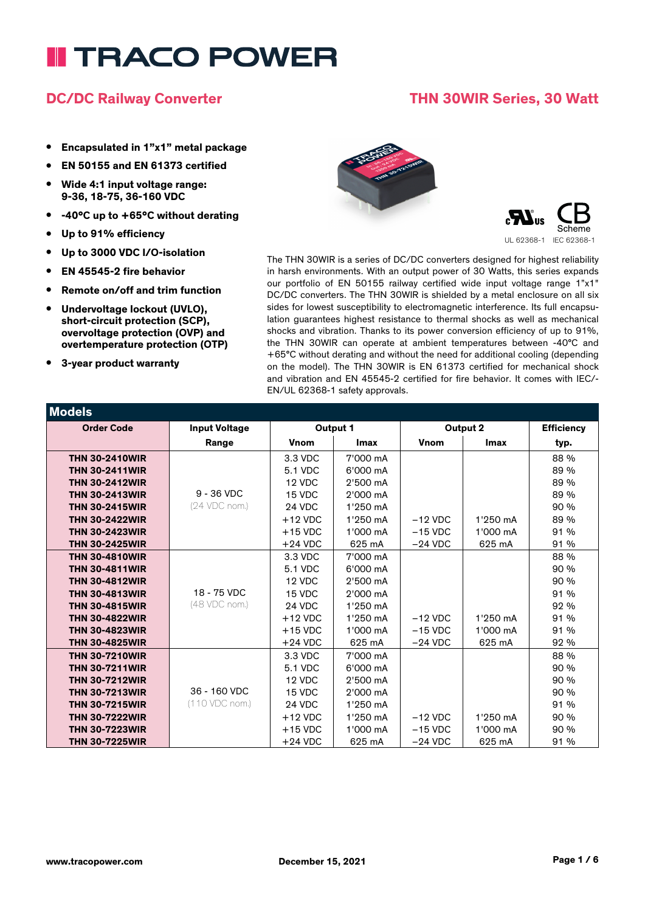### **DC/DC Railway Converter THN 30WIR Series, 30 Watt**

- **• Encapsulated in 1"x1" metal package**
- **• EN 50155 and EN 61373 certified**
- **• Wide 4:1 input voltage range: 9-36, 18-75, 36-160 VDC**
- **• -40°C up to +65°C without derating**
- **• Up to 91% efficiency**
- **• Up to 3000 VDC I/O-isolation**
- **• EN 45545-2 fire behavior**
- **• Remote on/off and trim function**
- **• Undervoltage lockout (UVLO), short-circuit protection (SCP), overvoltage protection (OVP) and overtemperature protection (OTP)**
- **• 3-year product warranty**





The THN 30WIR is a series of DC/DC converters designed for highest reliability in harsh environments. With an output power of 30 Watts, this series expands our portfolio of EN 50155 railway certified wide input voltage range 1"x1" DC/DC converters. The THN 30WIR is shielded by a metal enclosure on all six sides for lowest susceptibility to electromagnetic interference. Its full encapsulation guarantees highest resistance to thermal shocks as well as mechanical shocks and vibration. Thanks to its power conversion efficiency of up to 91%, the THN 30WIR can operate at ambient temperatures between -40°C and +65°C without derating and without the need for additional cooling (depending on the model). The THN 30WIR is EN 61373 certified for mechanical shock and vibration and EN 45545-2 certified for fire behavior. It comes with IEC/- EN/UL 62368-1 safety approvals.

| Models                |                      |             |             |             |             |                   |
|-----------------------|----------------------|-------------|-------------|-------------|-------------|-------------------|
| <b>Order Code</b>     | <b>Input Voltage</b> | Output 1    |             | Output 2    |             | <b>Efficiency</b> |
|                       | Range                | <b>Vnom</b> | <b>Imax</b> | <b>Vnom</b> | <b>Imax</b> | typ.              |
| <b>THN 30-2410WIR</b> |                      | 3.3 VDC     | 7'000 mA    |             |             | 88 %              |
| <b>THN 30-2411WIR</b> |                      | 5.1 VDC     | 6'000 mA    |             |             | 89 %              |
| <b>THN 30-2412WIR</b> |                      | 12 VDC      | 2'500 mA    |             |             | 89 %              |
| <b>THN 30-2413WIR</b> | $9 - 36$ VDC         | 15 VDC      | 2'000 mA    |             |             | 89 %              |
| <b>THN 30-2415WIR</b> | (24 VDC nom.)        | 24 VDC      | 1'250 mA    |             |             | 90 %              |
| <b>THN 30-2422WIR</b> |                      | $+12$ VDC   | 1'250 mA    | $-12$ VDC   | 1'250 mA    | 89 %              |
| <b>THN 30-2423WIR</b> |                      | $+15$ VDC   | 1'000 mA    | $-15$ VDC   | 1'000 mA    | 91 %              |
| <b>THN 30-2425WIR</b> |                      | $+24$ VDC   | 625 mA      | $-24$ VDC   | 625 mA      | 91 %              |
| <b>THN 30-4810WIR</b> |                      | 3.3 VDC     | 7'000 mA    |             |             | 88 %              |
| <b>THN 30-4811WIR</b> |                      | 5.1 VDC     | 6'000 mA    |             |             | 90 %              |
| <b>THN 30-4812WIR</b> |                      | 12 VDC      | 2'500 mA    |             |             | 90 %              |
| <b>THN 30-4813WIR</b> | 18 - 75 VDC          | 15 VDC      | 2'000 mA    |             |             | 91 %              |
| <b>THN 30-4815WIR</b> | (48 VDC nom.)        | 24 VDC      | 1'250 mA    |             |             | 92 %              |
| <b>THN 30-4822WIR</b> |                      | $+12$ VDC   | 1'250 mA    | $-12$ VDC   | 1'250 mA    | 91 %              |
| <b>THN 30-4823WIR</b> |                      | $+15$ VDC   | 1'000 mA    | $-15$ VDC   | 1'000 mA    | 91%               |
| <b>THN 30-4825WIR</b> |                      | $+24$ VDC   | 625 mA      | $-24$ VDC   | 625 mA      | 92 %              |
| <b>THN 30-7210WIR</b> |                      | 3.3 VDC     | 7'000 mA    |             |             | 88 %              |
| <b>THN 30-7211WIR</b> |                      | 5.1 VDC     | 6'000 mA    |             |             | 90%               |
| <b>THN 30-7212WIR</b> |                      | 12 VDC      | 2'500 mA    |             |             | 90 %              |
| <b>THN 30-7213WIR</b> | 36 - 160 VDC         | 15 VDC      | 2'000 mA    |             |             | 90 %              |
| <b>THN 30-7215WIR</b> | (110 VDC nom.)       | 24 VDC      | 1'250 mA    |             |             | 91 %              |
| <b>THN 30-7222WIR</b> |                      | $+12$ VDC   | 1'250 mA    | $-12$ VDC   | 1'250 mA    | 90 %              |
| <b>THN 30-7223WIR</b> |                      | $+15$ VDC   | 1'000 mA    | $-15$ VDC   | 1'000 mA    | 90 %              |
| <b>THN 30-7225WIR</b> |                      | $+24$ VDC   | 625 mA      | $-24$ VDC   | 625 mA      | 91 %              |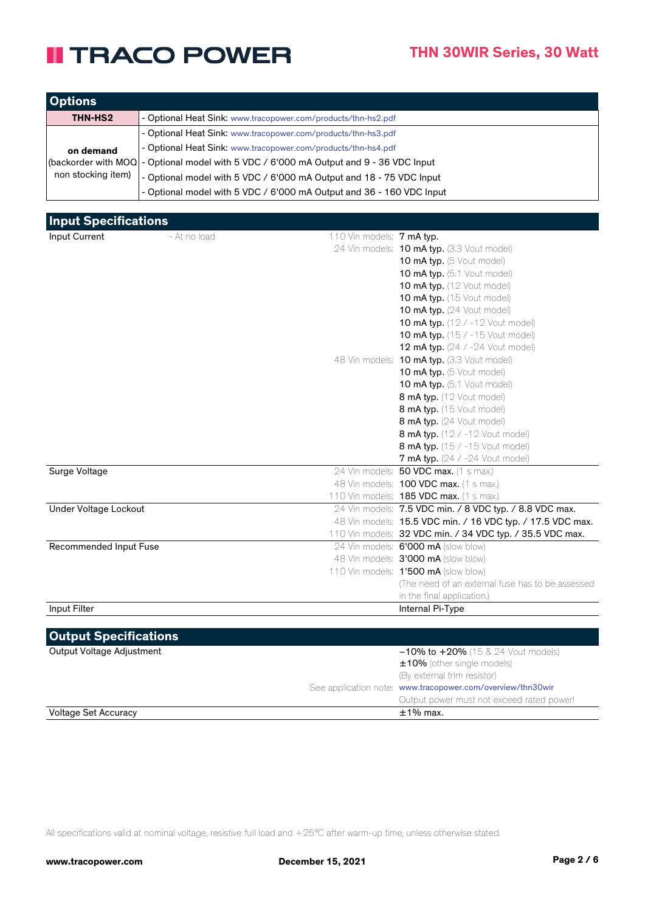| <b>Options</b>     |                                                                                        |
|--------------------|----------------------------------------------------------------------------------------|
| THN-HS2            | - Optional Heat Sink: www.tracopower.com/products/thn-hs2.pdf                          |
|                    | - Optional Heat Sink: www.tracopower.com/products/thn-hs3.pdf                          |
| on demand          | - Optional Heat Sink: www.tracopower.com/products/thn-hs4.pdf                          |
|                    | (backorder with MOQ - Optional model with 5 VDC / 6'000 mA Output and 9 - 36 VDC Input |
| non stocking item) | - Optional model with 5 VDC / 6'000 mA Output and 18 - 75 VDC Input                    |
|                    | - Optional model with 5 VDC / 6'000 mA Output and 36 - 160 VDC Input                   |

#### **Input Specifications**

| Input Current                | - At no load | 110 Vin models: $7 \text{ mA}$ typ. |                                                            |
|------------------------------|--------------|-------------------------------------|------------------------------------------------------------|
|                              |              |                                     | 24 Vin models: 10 mA typ. (3.3 Vout model)                 |
|                              |              |                                     | 10 mA typ. (5 Vout model)                                  |
|                              |              |                                     | 10 mA typ. (5.1 Vout model)                                |
|                              |              |                                     | 10 mA typ. (12 Vout model)                                 |
|                              |              |                                     | 10 mA typ. (15 Vout model)                                 |
|                              |              |                                     | 10 mA typ. (24 Vout model)                                 |
|                              |              |                                     | <b>10 mA typ.</b> (12 / -12 Vout model)                    |
|                              |              |                                     | <b>10 mA typ.</b> (15 / -15 Vout model)                    |
|                              |              |                                     | <b>12 mA typ.</b> $(24 / -24$ Vout model)                  |
|                              |              |                                     | 48 Vin models: 10 mA typ. (3.3 Vout model)                 |
|                              |              |                                     | 10 mA typ. (5 Vout model)                                  |
|                              |              |                                     | 10 mA typ. (5.1 Vout model)                                |
|                              |              |                                     | 8 mA typ. (12 Vout model)                                  |
|                              |              |                                     | 8 mA typ. (15 Vout model)                                  |
|                              |              |                                     | 8 mA typ. (24 Vout model)                                  |
|                              |              |                                     | 8 mA typ. (12 / -12 Vout model)                            |
|                              |              |                                     | 8 mA typ. (15 / -15 Vout model)                            |
|                              |              |                                     | <b>7 mA typ.</b> (24 / -24 Vout model)                     |
| Surge Voltage                |              |                                     | 24 Vin models: 50 VDC max. (1 s max.)                      |
|                              |              |                                     | 48 Vin models: 100 VDC max. (1 s max.)                     |
|                              |              |                                     | 110 Vin models: 185 VDC max. (1 s max.)                    |
| Under Voltage Lockout        |              |                                     | 24 Vin models: 7.5 VDC min. / 8 VDC typ. / 8.8 VDC max.    |
|                              |              |                                     | 48 Vin models: 15.5 VDC min. / 16 VDC typ. / 17.5 VDC max. |
|                              |              |                                     | 110 Vin models: 32 VDC min. / 34 VDC typ. / 35.5 VDC max.  |
| Recommended Input Fuse       |              |                                     | 24 Vin models: 6'000 mA (slow blow)                        |
|                              |              |                                     | 48 Vin models: 3'000 mA (slow blow)                        |
|                              |              |                                     | 110 Vin models: 1'500 mA (slow blow)                       |
|                              |              |                                     | The need of an external fuse has to be assessed            |
|                              |              |                                     | in the final application.)                                 |
| Input Filter                 |              |                                     | Internal Pi-Type                                           |
|                              |              |                                     |                                                            |
| <b>Output Specifications</b> |              |                                     |                                                            |
| Output Voltage Adjustment    |              |                                     | $-10\%$ to $+20\%$ (15 & 24 Vout models)                   |
|                              |              |                                     | ±10% (other single models)                                 |
|                              |              |                                     | (By external trim resistor)                                |
|                              |              |                                     | See application note: www.tracopower.com/overview/thn30wir |
|                              |              |                                     | Output power must not exceed rated power!                  |
| <b>Voltage Set Accuracy</b>  |              |                                     | $±1\%$ max.                                                |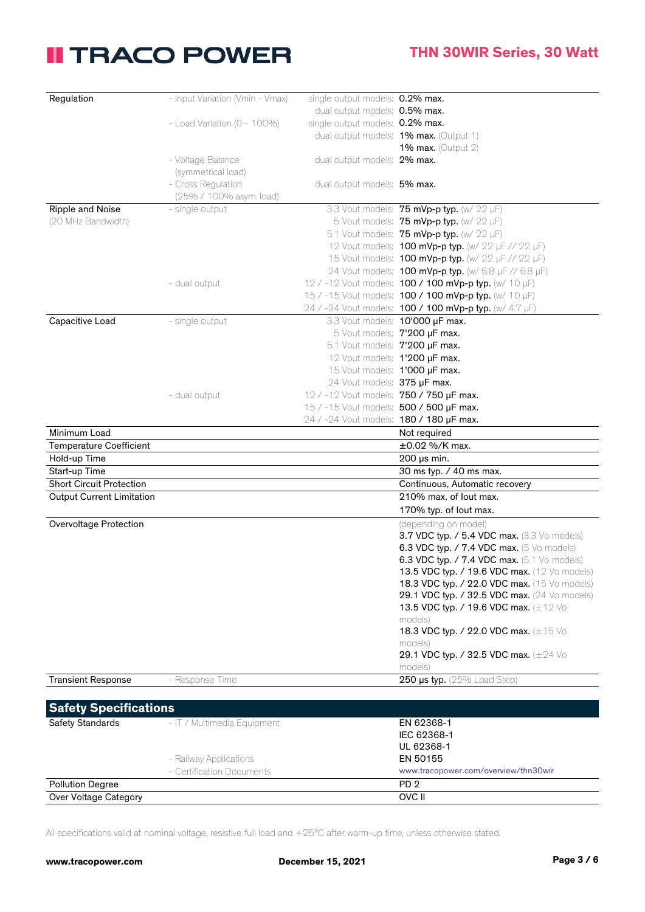| Regulation                       | - Input Variation (Vmin - Vmax)  | single output models: 0.2% max.         |                                                                     |
|----------------------------------|----------------------------------|-----------------------------------------|---------------------------------------------------------------------|
|                                  |                                  | dual output models: 0.5% max.           |                                                                     |
|                                  | - Load Variation ( $0 - 100\%$ ) | single output models: 0.2% max.         |                                                                     |
|                                  |                                  |                                         | dual output models: 1% max. (Output 1)                              |
|                                  |                                  |                                         | 1% max. (Output $2$ )                                               |
|                                  | - Voltage Balance                | dual output models: 2% max.             |                                                                     |
|                                  | (symmetrical load)               |                                         |                                                                     |
|                                  | - Cross Regulation               | dual output models: 5% max.             |                                                                     |
|                                  | (25% / 100% asym. load)          |                                         |                                                                     |
| Ripple and Noise                 | - single output                  |                                         | 3.3 Vout models: 75 mVp-p typ. (w/ 22 µF)                           |
| (20 MHz Bandwidth)               |                                  |                                         | 5 Vout models: 75 mVp-p typ. (w/ 22 µF)                             |
|                                  |                                  |                                         | 5.1 Vout models: 75 mVp-p typ. (w/ 22 µF)                           |
|                                  |                                  |                                         | 12 Vout models: <b>100 mVp-p typ.</b> (w/ 22 µF // 22 µF)           |
|                                  |                                  |                                         | 15 Vout models: <b>100 mVp-p typ.</b> (w/ 22 µF // 22 µF)           |
|                                  |                                  |                                         | 24 Vout models: 100 mVp-p typ. (w/ 6.8 µF // 6.8 µF)                |
|                                  | - dual output                    |                                         | 12 / -12 Vout models: 100 / 100 mVp-p typ. (w/ 10 µF)               |
|                                  |                                  |                                         | 15 / -15 Vout models: <b>100 / 100 mVp-p typ.</b> (w/ 10 µF)        |
|                                  |                                  |                                         | 24 / -24 Vout models: 100 / 100 mVp-p typ. (w/ 4.7 µF)              |
| Capacitive Load                  | - single output                  |                                         | 3.3 Vout models: 10'000 µF max.                                     |
|                                  |                                  |                                         | 5 Vout models: 7'200 µF max.                                        |
|                                  |                                  | 5.1 Vout models: 7'200 µF max.          |                                                                     |
|                                  |                                  | 12 Vout models: 1'200 µF max.           |                                                                     |
|                                  |                                  | 15 Vout models: 1'000 µF max.           |                                                                     |
|                                  |                                  | 24 Vout models: 375 µF max.             |                                                                     |
|                                  |                                  | 12 / -12 Vout models: 750 / 750 µF max. |                                                                     |
|                                  | - dual output                    |                                         |                                                                     |
|                                  |                                  | 15 / -15 Vout models: 500 / 500 µF max. |                                                                     |
|                                  |                                  | 24 / -24 Vout models: 180 / 180 µF max. |                                                                     |
| Minimum Load                     |                                  |                                         | Not required                                                        |
| <b>Temperature Coefficient</b>   |                                  |                                         | ±0.02 %/K max.                                                      |
| Hold-up Time<br>Start-up Time    |                                  |                                         | $200 \,\mu s$ min.                                                  |
| <b>Short Circuit Protection</b>  |                                  |                                         | 30 ms typ. / 40 ms max.<br>Continuous, Automatic recovery           |
| <b>Output Current Limitation</b> |                                  |                                         | 210% max. of lout max.                                              |
|                                  |                                  |                                         | 170% typ. of lout max.                                              |
| <b>Overvoltage Protection</b>    |                                  |                                         |                                                                     |
|                                  |                                  |                                         | (depending on model)<br>3.7 VDC typ. / 5.4 VDC max. (3.3 Vo models) |
|                                  |                                  |                                         | 6.3 VDC typ. / 7.4 VDC max. (5 Vo models)                           |
|                                  |                                  |                                         | 6.3 VDC typ. / 7.4 VDC max. (5.1 Vo models)                         |
|                                  |                                  |                                         | 13.5 VDC typ. / 19.6 VDC max. (12 Vo models)                        |
|                                  |                                  |                                         | 18.3 VDC typ. / 22.0 VDC max. (15 Vo models)                        |
|                                  |                                  |                                         | 29.1 VDC typ. / 32.5 VDC max. (24 Vo models)                        |
|                                  |                                  |                                         | 13.5 VDC typ. / 19.6 VDC max. (±12 Vo                               |
|                                  |                                  |                                         | models)                                                             |
|                                  |                                  |                                         | 18.3 VDC typ. / 22.0 VDC max. (±15 Vo                               |
|                                  |                                  |                                         | models)                                                             |
|                                  |                                  |                                         | 29.1 VDC typ. / 32.5 VDC max. (±24 Vo                               |
|                                  |                                  |                                         | models)                                                             |
| <b>Transient Response</b>        | - Response Time                  |                                         | 250 $\mu$ s typ. (25% Load Step)                                    |
|                                  |                                  |                                         |                                                                     |
| <b>Safety Specifications</b>     |                                  |                                         |                                                                     |
| Safety Standards                 | - IT / Multimedia Equipment      |                                         | EN 62368-1                                                          |
|                                  |                                  |                                         | IEC 62368-1                                                         |
|                                  |                                  |                                         | UL 62368-1                                                          |
|                                  | - Railway Applications           |                                         | EN 50155                                                            |
|                                  | - Certification Documents        |                                         | www.tracopower.com/overview/thn30wir                                |
| <b>Pollution Degree</b>          |                                  |                                         | PD <sub>2</sub>                                                     |
| Over Voltage Category            |                                  |                                         | OVC II                                                              |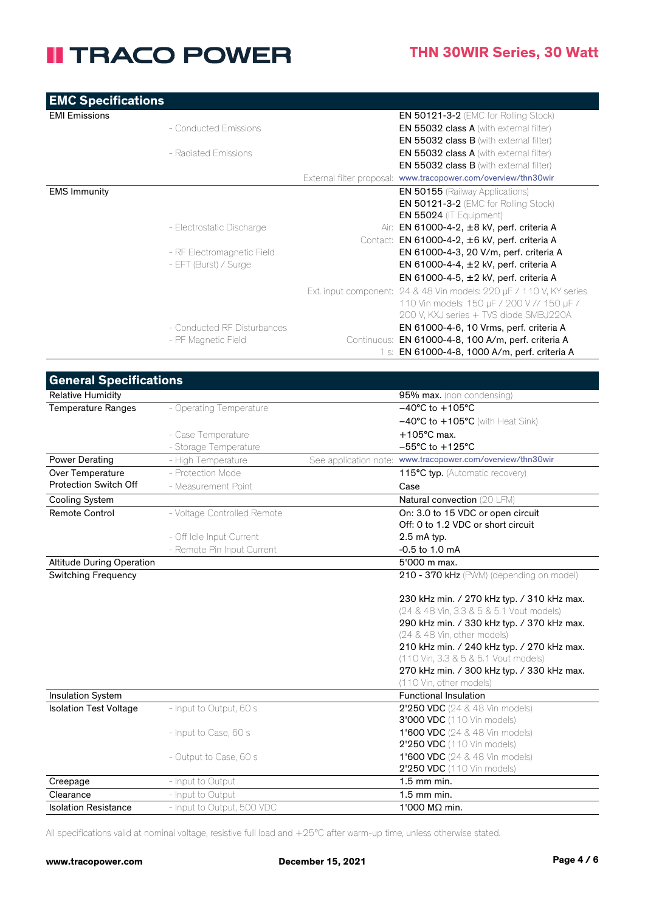| <b>EMC Specifications</b> |                             |             |                                                                     |
|---------------------------|-----------------------------|-------------|---------------------------------------------------------------------|
| <b>EMI Emissions</b>      |                             |             | <b>EN 50121-3-2 (EMC for Rolling Stock)</b>                         |
|                           | - Conducted Emissions       |             | EN 55032 class A (with external filter)                             |
|                           |                             |             | EN 55032 class B (with external filter)                             |
|                           | - Radiated Emissions        |             | <b>EN 55032 class A</b> (with external filter)                      |
|                           |                             |             | <b>EN 55032 class B</b> (with external filter)                      |
|                           |                             |             | External filter proposal: www.tracopower.com/overview/thn30wir      |
| <b>EMS Immunity</b>       |                             |             | <b>EN 50155</b> (Railway Applications)                              |
|                           |                             |             | EN 50121-3-2 (EMC for Rolling Stock)                                |
|                           |                             |             | $EN 55024$ (IT Equipment)                                           |
|                           | - Electrostatic Discharge   |             | Air: EN 61000-4-2, ±8 kV, perf. criteria A                          |
|                           |                             |             | Contact: EN 61000-4-2, ±6 kV, perf. criteria A                      |
|                           | - RF Electromagnetic Field  |             | EN 61000-4-3, 20 V/m, perf. criteria A                              |
|                           | - EFT (Burst) / Surge       |             | EN 61000-4-4, ±2 kV, perf. criteria A                               |
|                           |                             |             | EN 61000-4-5, ±2 kV, perf. criteria A                               |
|                           |                             |             | Ext. input component: 24 & 48 Vin models: 220 µF / 110 V, KY series |
|                           |                             |             | 110 Vin models: 150 µF / 200 V // 150 µF /                          |
|                           |                             |             | 200 V, KXJ series + TVS diode SMBJ220A                              |
|                           | - Conducted RF Disturbances |             | EN 61000-4-6, 10 Vrms, perf. criteria A                             |
|                           | - PF Magnetic Field         | Continuous: | EN 61000-4-8, 100 A/m, perf. criteria A                             |
|                           |                             |             | 1 s: EN 61000-4-8, 1000 A/m, perf. criteria A                       |

| <b>General Specifications</b>    |                             |                                                                                        |
|----------------------------------|-----------------------------|----------------------------------------------------------------------------------------|
| <b>Relative Humidity</b>         |                             | 95% max. (non condensing)                                                              |
| <b>Temperature Ranges</b>        | - Operating Temperature     | $-40^{\circ}$ C to +105°C                                                              |
|                                  |                             | $-40^{\circ}$ C to $+105^{\circ}$ C (with Heat Sink)                                   |
|                                  | - Case Temperature          | $+105^{\circ}$ C max.                                                                  |
|                                  | - Storage Temperature       | $-55^{\circ}$ C to $+125^{\circ}$ C                                                    |
| Power Derating                   | - High Temperature          | See application note: www.tracopower.com/overview/thn30wir                             |
| Over Temperature                 | - Protection Mode           | 115°C typ. (Automatic recovery)                                                        |
| Protection Switch Off            | - Measurement Point         | Case                                                                                   |
| <b>Cooling System</b>            |                             | Natural convection (20 LFM)                                                            |
| <b>Remote Control</b>            | - Voltage Controlled Remote | On: 3.0 to 15 VDC or open circuit                                                      |
|                                  |                             | Off: 0 to 1.2 VDC or short circuit                                                     |
|                                  | - Off Idle Input Current    | 2.5 mA typ.                                                                            |
|                                  | - Remote Pin Input Current  | $-0.5$ to 1.0 mA                                                                       |
| <b>Altitude During Operation</b> |                             | 5'000 m max.                                                                           |
| <b>Switching Frequency</b>       |                             | 210 - 370 kHz (PWM) (depending on model)                                               |
|                                  |                             | 230 kHz min. / 270 kHz typ. / 310 kHz max.<br>(24 & 48 Vin, 3.3 & 5 & 5.1 Vout models) |
|                                  |                             | 290 kHz min. / 330 kHz typ. / 370 kHz max.                                             |
|                                  |                             | (24 & 48 Vin, other models)                                                            |
|                                  |                             | 210 kHz min. / 240 kHz typ. / 270 kHz max.                                             |
|                                  |                             | (110 Vin, 3.3 & 5 & 5.1 Vout models)                                                   |
|                                  |                             | 270 kHz min. / 300 kHz typ. / 330 kHz max.                                             |
|                                  |                             | (110 Vin, other models)                                                                |
| <b>Insulation System</b>         |                             | <b>Functional Insulation</b>                                                           |
| <b>Isolation Test Voltage</b>    | - Input to Output, 60 s     | 2'250 VDC (24 & 48 Vin models)                                                         |
|                                  |                             | 3'000 VDC (110 Vin models)                                                             |
|                                  | - Input to Case, 60 s       | 1'600 VDC (24 & 48 Vin models)                                                         |
|                                  |                             | 2'250 VDC (110 Vin models)                                                             |
|                                  | - Output to Case, 60 s      | <b>1'600 VDC</b> (24 & 48 Vin models)                                                  |
|                                  |                             | 2'250 VDC (110 Vin models)                                                             |
| Creepage                         | - Input to Output           | $1.5$ mm min.                                                                          |
| Clearance                        | - Input to Output           | 1.5 mm min.                                                                            |
| <b>Isolation Resistance</b>      | - Input to Output, 500 VDC  | 1'000 MΩ min.                                                                          |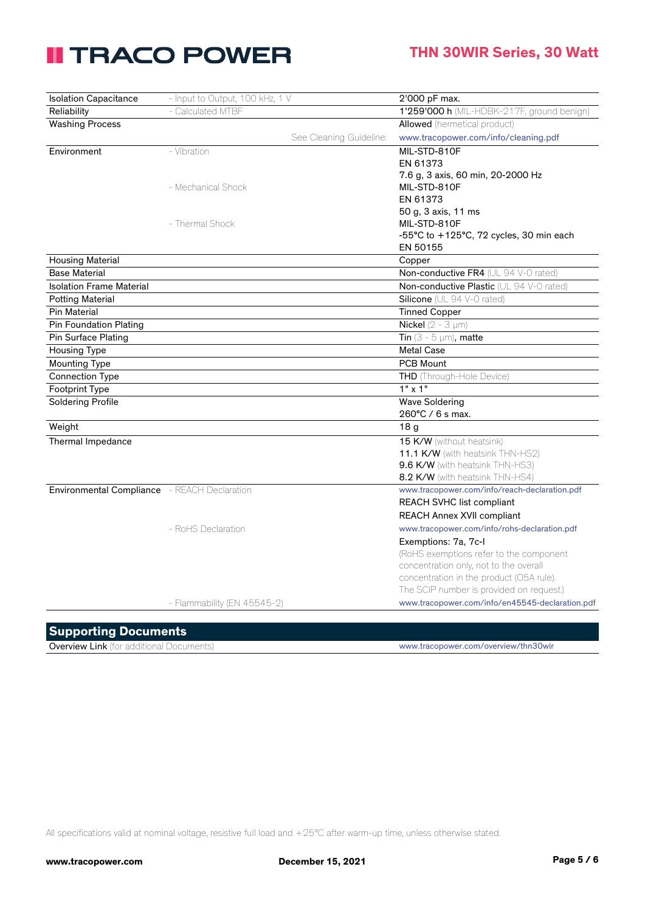| <b>Isolation Capacitance</b>                 | - Input to Output, 100 kHz, 1 V |                         | 2'000 pF max.                                   |
|----------------------------------------------|---------------------------------|-------------------------|-------------------------------------------------|
| Reliability                                  | - Calculated MTBF               |                         | 1'259'000 h (MIL-HDBK-217F, ground benign)      |
| <b>Washing Process</b>                       |                                 |                         | <b>Allowed</b> (hermetical product)             |
|                                              |                                 | See Cleaning Guideline: | www.tracopower.com/info/cleaning.pdf            |
| Environment                                  | - Vibration                     |                         | MIL-STD-810F                                    |
|                                              |                                 |                         | EN 61373                                        |
|                                              |                                 |                         | 7.6 g, 3 axis, 60 min, 20-2000 Hz               |
|                                              | - Mechanical Shock              |                         | MIL-STD-810F                                    |
|                                              |                                 |                         | EN 61373                                        |
|                                              |                                 |                         | 50 g, 3 axis, 11 ms                             |
|                                              | - Thermal Shock                 |                         | MIL-STD-810F                                    |
|                                              |                                 |                         | -55°C to +125°C, 72 cycles, 30 min each         |
|                                              |                                 |                         | EN 50155                                        |
| <b>Housing Material</b>                      |                                 |                         | Copper                                          |
| <b>Base Material</b>                         |                                 |                         | Non-conductive FR4 (UL 94 V-0 rated)            |
| <b>Isolation Frame Material</b>              |                                 |                         | Non-conductive Plastic (UL 94 V-0 rated)        |
| <b>Potting Material</b>                      |                                 |                         | Silicone (UL 94 V-0 rated)                      |
| <b>Pin Material</b>                          |                                 |                         | <b>Tinned Copper</b>                            |
| <b>Pin Foundation Plating</b>                |                                 |                         | <b>Nickel</b> $(2 - 3 \mu m)$                   |
| Pin Surface Plating                          |                                 |                         | Tin $(3 - 5 \mu m)$ , matte                     |
| <b>Housing Type</b>                          |                                 |                         | <b>Metal Case</b>                               |
| <b>Mounting Type</b>                         |                                 |                         | <b>PCB Mount</b>                                |
| <b>Connection Type</b>                       |                                 |                         | THD (Through-Hole Device)                       |
| Footprint Type                               |                                 |                         | $1" \times 1"$                                  |
| <b>Soldering Profile</b>                     |                                 |                         | <b>Wave Soldering</b>                           |
|                                              |                                 |                         | $260^{\circ}$ C / 6 s max.                      |
| Weight                                       |                                 |                         | 18 <sub>g</sub>                                 |
| Thermal Impedance                            |                                 |                         | 15 K/W (without heatsink)                       |
|                                              |                                 |                         | 11.1 K/W (with heatsink THN-HS2)                |
|                                              |                                 |                         | 9.6 K/W (with heatsink THN-HS3)                 |
|                                              |                                 |                         | 8.2 K/W (with heatsink THN-HS4)                 |
| Environmental Compliance - REACH Declaration |                                 |                         | www.tracopower.com/info/reach-declaration.pdf   |
|                                              |                                 |                         | REACH SVHC list compliant                       |
|                                              |                                 |                         | REACH Annex XVII compliant                      |
|                                              | - RoHS Declaration              |                         | www.tracopower.com/info/rohs-declaration.pdf    |
|                                              |                                 |                         | Exemptions: 7a, 7c-l                            |
|                                              |                                 |                         | (RoHS exemptions refer to the component         |
|                                              |                                 |                         | concentration only, not to the overall          |
|                                              |                                 |                         | concentration in the product (O5A rule).        |
|                                              |                                 |                         | The SCIP number is provided on request.)        |
|                                              | - Flammability (EN 45545-2)     |                         | www.tracopower.com/info/en45545-declaration.pdf |
|                                              |                                 |                         |                                                 |

#### **Supporting Documents**

Overview Link (for additional Documents) www.tracopower.com/overview/thn30wir